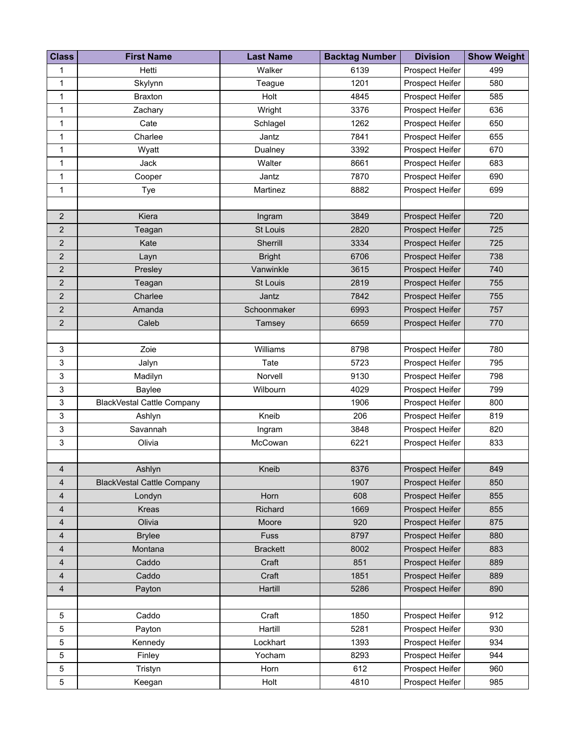| <b>Class</b>   | <b>First Name</b>                 | <b>Last Name</b> | <b>Backtag Number</b> | <b>Division</b>        | <b>Show Weight</b> |
|----------------|-----------------------------------|------------------|-----------------------|------------------------|--------------------|
| 1              | Hetti                             | Walker           | 6139                  | Prospect Heifer        | 499                |
| 1              | Skylynn                           | Teague           | 1201                  | Prospect Heifer        | 580                |
| 1              | <b>Braxton</b>                    | Holt             | 4845                  | Prospect Heifer        | 585                |
| 1              | Zachary                           | Wright           | 3376                  | Prospect Heifer        | 636                |
| 1              | Cate                              | Schlagel         | 1262                  | Prospect Heifer        | 650                |
| 1              | Charlee                           | Jantz            | 7841                  | Prospect Heifer        | 655                |
| 1              | Wyatt                             | Dualney          | 3392                  | Prospect Heifer        | 670                |
| 1              | Jack                              | Walter           | 8661                  | Prospect Heifer        | 683                |
| 1              | Cooper                            | Jantz            | 7870                  | Prospect Heifer        | 690                |
| 1              | Tye                               | Martinez         | 8882                  | Prospect Heifer        | 699                |
|                |                                   |                  |                       |                        |                    |
| $\overline{2}$ | Kiera                             | Ingram           | 3849                  | Prospect Heifer        | 720                |
| $\overline{2}$ | Teagan                            | St Louis         | 2820                  | Prospect Heifer        | 725                |
| $\mathbf 2$    | Kate                              | Sherrill         | 3334                  | Prospect Heifer        | 725                |
| $\overline{2}$ | Layn                              | <b>Bright</b>    | 6706                  | Prospect Heifer        | 738                |
| $\overline{2}$ | Presley                           | Vanwinkle        | 3615                  | Prospect Heifer        | 740                |
| $\mathbf 2$    | Teagan                            | St Louis         | 2819                  | Prospect Heifer        | 755                |
| $\mathbf 2$    | Charlee                           | Jantz            | 7842                  | Prospect Heifer        | 755                |
| $\mathbf 2$    | Amanda                            | Schoonmaker      | 6993                  | Prospect Heifer        | 757                |
| $\mathbf 2$    | Caleb                             | Tamsey           | 6659                  | Prospect Heifer        | 770                |
|                |                                   |                  |                       |                        |                    |
| 3              | Zoie                              | Williams         | 8798                  | Prospect Heifer        | 780                |
| 3              | Jalyn                             | Tate             | 5723                  | Prospect Heifer        | 795                |
| 3              | Madilyn                           | Norvell          | 9130                  | Prospect Heifer        | 798                |
| 3              | Baylee                            | Wilbourn         | 4029                  | Prospect Heifer        | 799                |
| 3              | <b>BlackVestal Cattle Company</b> |                  | 1906                  | Prospect Heifer        | 800                |
| 3              | Ashlyn                            | Kneib            | 206                   | Prospect Heifer        | 819                |
| 3              | Savannah                          | Ingram           | 3848                  | Prospect Heifer        | 820                |
| 3              | Olivia                            | McCowan          | 6221                  | Prospect Heifer        | 833                |
|                |                                   |                  |                       |                        |                    |
| 4              | Ashlyn                            | Kneib            | 8376                  | Prospect Heifer        | 849                |
| 4              | <b>BlackVestal Cattle Company</b> |                  | 1907                  | Prospect Heifer        | 850                |
| 4              | Londyn                            | Horn             | 608                   | <b>Prospect Heifer</b> | 855                |
| 4              | Kreas                             | Richard          | 1669                  | Prospect Heifer        | 855                |
| 4              | Olivia                            | Moore            | 920                   | Prospect Heifer        | 875                |
| 4              | <b>Brylee</b>                     | <b>Fuss</b>      | 8797                  | Prospect Heifer        | 880                |
| 4              | Montana                           | <b>Brackett</b>  | 8002                  | Prospect Heifer        | 883                |
| $\overline{4}$ | Caddo                             | Craft            | 851                   | Prospect Heifer        | 889                |
| 4              | Caddo                             | Craft            | 1851                  | Prospect Heifer        | 889                |
| 4              | Payton                            | Hartill          | 5286                  | Prospect Heifer        | 890                |
|                |                                   |                  |                       |                        |                    |
| 5              | Caddo                             | Craft            | 1850                  | Prospect Heifer        | 912                |
| 5              | Payton                            | Hartill          | 5281                  | Prospect Heifer        | 930                |
| 5              | Kennedy                           | Lockhart         | 1393                  | Prospect Heifer        | 934                |
| 5              | Finley                            | Yocham           | 8293                  | Prospect Heifer        | 944                |
| 5              | Tristyn                           | Horn             | 612                   | Prospect Heifer        | 960                |
| 5              | Keegan                            | Holt             | 4810                  | Prospect Heifer        | 985                |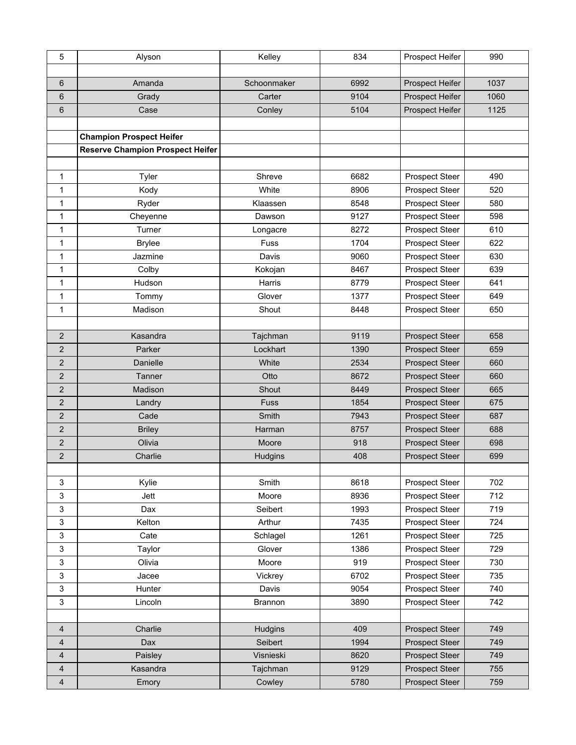| 5                         | Alyson                                  | Kelley      | 834  | Prospect Heifer       | 990  |
|---------------------------|-----------------------------------------|-------------|------|-----------------------|------|
|                           |                                         |             |      |                       |      |
| $6\phantom{1}$            | Amanda                                  | Schoonmaker | 6992 | Prospect Heifer       | 1037 |
| $6\phantom{1}$            | Grady                                   | Carter      | 9104 | Prospect Heifer       | 1060 |
| $\,6$                     | Case                                    | Conley      | 5104 | Prospect Heifer       | 1125 |
|                           |                                         |             |      |                       |      |
|                           | <b>Champion Prospect Heifer</b>         |             |      |                       |      |
|                           | <b>Reserve Champion Prospect Heifer</b> |             |      |                       |      |
|                           |                                         |             |      |                       |      |
| 1                         | Tyler                                   | Shreve      | 6682 | <b>Prospect Steer</b> | 490  |
| 1                         | Kody                                    | White       | 8906 | <b>Prospect Steer</b> | 520  |
| $\mathbf{1}$              | Ryder                                   | Klaassen    | 8548 | <b>Prospect Steer</b> | 580  |
| $\mathbf{1}$              | Cheyenne                                | Dawson      | 9127 | Prospect Steer        | 598  |
| $\mathbf{1}$              | Turner                                  | Longacre    | 8272 | <b>Prospect Steer</b> | 610  |
| 1                         | <b>Brylee</b>                           | Fuss        | 1704 | Prospect Steer        | 622  |
| 1                         | Jazmine                                 | Davis       | 9060 | <b>Prospect Steer</b> | 630  |
| 1                         | Colby                                   | Kokojan     | 8467 | <b>Prospect Steer</b> | 639  |
| $\mathbf{1}$              | Hudson                                  | Harris      | 8779 | Prospect Steer        | 641  |
| 1                         | Tommy                                   | Glover      | 1377 | Prospect Steer        | 649  |
| $\mathbf{1}$              | Madison                                 | Shout       | 8448 | <b>Prospect Steer</b> | 650  |
|                           |                                         |             |      |                       |      |
| $\overline{2}$            | Kasandra                                | Tajchman    | 9119 | <b>Prospect Steer</b> | 658  |
| $\overline{2}$            | Parker                                  | Lockhart    | 1390 | <b>Prospect Steer</b> | 659  |
| $\overline{2}$            | Danielle                                | White       | 2534 | Prospect Steer        | 660  |
| $\overline{2}$            | <b>Tanner</b>                           | Otto        | 8672 | <b>Prospect Steer</b> | 660  |
| $\overline{2}$            | Madison                                 | Shout       | 8449 | <b>Prospect Steer</b> | 665  |
| $\overline{2}$            | Landry                                  | Fuss        | 1854 | Prospect Steer        | 675  |
| $\overline{2}$            | Cade                                    | Smith       | 7943 | <b>Prospect Steer</b> | 687  |
| $\overline{2}$            | <b>Briley</b>                           | Harman      | 8757 | <b>Prospect Steer</b> | 688  |
| $\overline{2}$            | Olivia                                  | Moore       | 918  | Prospect Steer        | 698  |
| $\overline{2}$            | Charlie                                 | Hudgins     | 408  | <b>Prospect Steer</b> | 699  |
|                           |                                         |             |      |                       |      |
| $\mathbf{3}$              | Kylie                                   | Smith       | 8618 | Prospect Steer        | 702  |
| $\mathbf{3}$              | Jett                                    | Moore       | 8936 | Prospect Steer        | 712  |
| $\ensuremath{\mathsf{3}}$ | Dax                                     | Seibert     | 1993 | Prospect Steer        | 719  |
| $\mathbf{3}$              | Kelton                                  | Arthur      | 7435 | Prospect Steer        | 724  |
| $\mathbf{3}$              | Cate                                    | Schlagel    | 1261 | Prospect Steer        | 725  |
| $\ensuremath{\mathsf{3}}$ | Taylor                                  | Glover      | 1386 | Prospect Steer        | 729  |
| $\mathbf{3}$              | Olivia                                  | Moore       | 919  | Prospect Steer        | 730  |
| $\ensuremath{\mathsf{3}}$ | Jacee                                   | Vickrey     | 6702 | Prospect Steer        | 735  |
| $\ensuremath{\mathsf{3}}$ | Hunter                                  | Davis       | 9054 | Prospect Steer        | 740  |
| $\mathbf{3}$              | Lincoln                                 | Brannon     | 3890 | Prospect Steer        | 742  |
|                           |                                         |             |      |                       |      |
| $\overline{4}$            | Charlie                                 | Hudgins     | 409  | Prospect Steer        | 749  |
| $\overline{4}$            | Dax                                     | Seibert     | 1994 | <b>Prospect Steer</b> | 749  |
| $\overline{4}$            | Paisley                                 | Visnieski   | 8620 | Prospect Steer        | 749  |
| $\overline{4}$            | Kasandra                                | Tajchman    | 9129 | Prospect Steer        | 755  |
| $\overline{4}$            | Emory                                   | Cowley      | 5780 | Prospect Steer        | 759  |